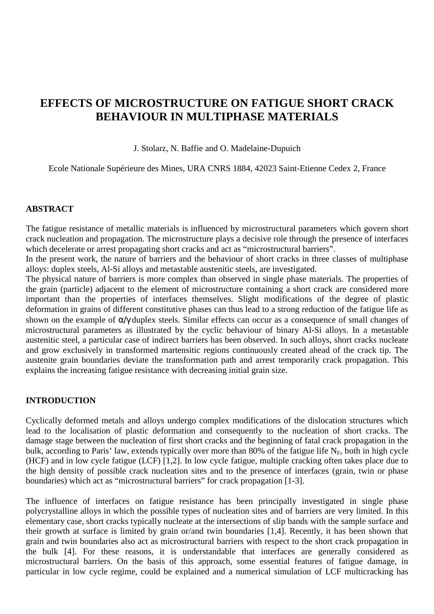# **EFFECTS OF MICROSTRUCTURE ON FATIGUE SHORT CRACK BEHAVIOUR IN MULTIPHASE MATERIALS**

#### J. Stolarz, N. Baffie and O. Madelaine-Dupuich

Ecole Nationale Supérieure des Mines, URA CNRS 1884, 42023 Saint-Etienne Cedex 2, France

#### **ABSTRACT**

The fatigue resistance of metallic materials is influenced by microstructural parameters which govern short crack nucleation and propagation. The microstructure plays a decisive role through the presence of interfaces which decelerate or arrest propagating short cracks and act as "microstructural barriers".

In the present work, the nature of barriers and the behaviour of short cracks in three classes of multiphase alloys: duplex steels, Al-Si alloys and metastable austenitic steels, are investigated.

The physical nature of barriers is more complex than observed in single phase materials. The properties of the grain (particle) adjacent to the element of microstructure containing a short crack are considered more important than the properties of interfaces themselves. Slight modifications of the degree of plastic deformation in grains of different constitutive phases can thus lead to a strong reduction of the fatigue life as shown on the example of α/γ duplex steels. Similar effects can occur as a consequence of small changes of microstructural parameters as illustrated by the cyclic behaviour of binary Al-Si alloys. In a metastable austenitic steel, a particular case of indirect barriers has been observed. In such alloys, short cracks nucleate and grow exclusively in transformed martensitic regions continuously created ahead of the crack tip. The austenite grain boundaries deviate the transformation path and arrest temporarily crack propagation. This explains the increasing fatigue resistance with decreasing initial grain size.

#### **INTRODUCTION**

Cyclically deformed metals and alloys undergo complex modifications of the dislocation structures which lead to the localisation of plastic deformation and consequently to the nucleation of short cracks. The damage stage between the nucleation of first short cracks and the beginning of fatal crack propagation in the bulk, according to Paris' law, extends typically over more than 80% of the fatigue life  $N_F$ , both in high cycle (HCF) and in low cycle fatigue (LCF) [1,2]. In low cycle fatigue, multiple cracking often takes place due to the high density of possible crack nucleation sites and to the presence of interfaces (grain, twin or phase boundaries) which act as "microstructural barriers" for crack propagation [1-3].

The influence of interfaces on fatigue resistance has been principally investigated in single phase polycrystalline alloys in which the possible types of nucleation sites and of barriers are very limited. In this elementary case, short cracks typically nucleate at the intersections of slip bands with the sample surface and their growth at surface is limited by grain or/and twin boundaries [1,4]. Recently, it has been shown that grain and twin boundaries also act as microstructural barriers with respect to the short crack propagation in the bulk [4]. For these reasons, it is understandable that interfaces are generally considered as microstructural barriers. On the basis of this approach, some essential features of fatigue damage, in particular in low cycle regime, could be explained and a numerical simulation of LCF multicracking has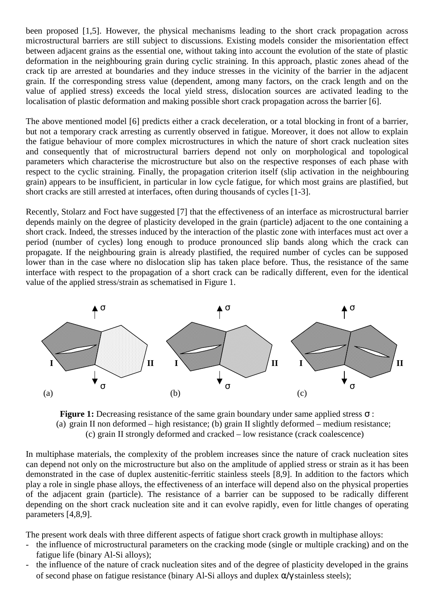been proposed [1,5]. However, the physical mechanisms leading to the short crack propagation across microstructural barriers are still subject to discussions. Existing models consider the misorientation effect between adjacent grains as the essential one, without taking into account the evolution of the state of plastic deformation in the neighbouring grain during cyclic straining. In this approach, plastic zones ahead of the crack tip are arrested at boundaries and they induce stresses in the vicinity of the barrier in the adjacent grain. If the corresponding stress value (dependent, among many factors, on the crack length and on the value of applied stress) exceeds the local yield stress, dislocation sources are activated leading to the localisation of plastic deformation and making possible short crack propagation across the barrier [6].

The above mentioned model [6] predicts either a crack deceleration, or a total blocking in front of a barrier, but not a temporary crack arresting as currently observed in fatigue. Moreover, it does not allow to explain the fatigue behaviour of more complex microstructures in which the nature of short crack nucleation sites and consequently that of microstructural barriers depend not only on morphological and topological parameters which characterise the microstructure but also on the respective responses of each phase with respect to the cyclic straining. Finally, the propagation criterion itself (slip activation in the neighbouring grain) appears to be insufficient, in particular in low cycle fatigue, for which most grains are plastified, but short cracks are still arrested at interfaces, often during thousands of cycles [1-3].

Recently, Stolarz and Foct have suggested [7] that the effectiveness of an interface as microstructural barrier depends mainly on the degree of plasticity developed in the grain (particle) adjacent to the one containing a short crack. Indeed, the stresses induced by the interaction of the plastic zone with interfaces must act over a period (number of cycles) long enough to produce pronounced slip bands along which the crack can propagate. If the neighbouring grain is already plastified, the required number of cycles can be supposed lower than in the case where no dislocation slip has taken place before. Thus, the resistance of the same interface with respect to the propagation of a short crack can be radically different, even for the identical value of the applied stress/strain as schematised in Figure 1.



**Figure 1:** Decreasing resistance of the same grain boundary under same applied stress σ : (a) grain II non deformed – high resistance; (b) grain II slightly deformed – medium resistance; (c) grain II strongly deformed and cracked – low resistance (crack coalescence)

In multiphase materials, the complexity of the problem increases since the nature of crack nucleation sites can depend not only on the microstructure but also on the amplitude of applied stress or strain as it has been demonstrated in the case of duplex austenitic-ferritic stainless steels [8,9]. In addition to the factors which play a role in single phase alloys, the effectiveness of an interface will depend also on the physical properties of the adjacent grain (particle). The resistance of a barrier can be supposed to be radically different depending on the short crack nucleation site and it can evolve rapidly, even for little changes of operating parameters [4,8,9].

The present work deals with three different aspects of fatigue short crack growth in multiphase alloys:

- the influence of microstructural parameters on the cracking mode (single or multiple cracking) and on the fatigue life (binary Al-Si alloys);
- the influence of the nature of crack nucleation sites and of the degree of plasticity developed in the grains of second phase on fatigue resistance (binary Al-Si alloys and duplex  $\alpha/\gamma$  stainless steels);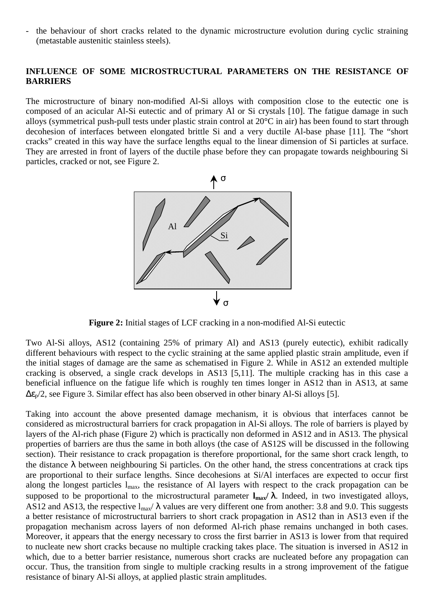- the behaviour of short cracks related to the dynamic microstructure evolution during cyclic straining (metastable austenitic stainless steels).

## **INFLUENCE OF SOME MICROSTRUCTURAL PARAMETERS ON THE RESISTANCE OF BARRIERS**

The microstructure of binary non-modified Al-Si alloys with composition close to the eutectic one is composed of an acicular Al-Si eutectic and of primary Al or Si crystals [10]. The fatigue damage in such alloys (symmetrical push-pull tests under plastic strain control at 20°C in air) has been found to start through decohesion of interfaces between elongated brittle Si and a very ductile Al-base phase [11]. The "short cracks" created in this way have the surface lengths equal to the linear dimension of Si particles at surface. They are arrested in front of layers of the ductile phase before they can propagate towards neighbouring Si particles, cracked or not, see Figure 2.



**Figure 2:** Initial stages of LCF cracking in a non-modified Al-Si eutectic

Two Al-Si alloys, AS12 (containing 25% of primary Al) and AS13 (purely eutectic), exhibit radically different behaviours with respect to the cyclic straining at the same applied plastic strain amplitude, even if the initial stages of damage are the same as schematised in Figure 2. While in AS12 an extended multiple cracking is observed, a single crack develops in AS13 [5,11]. The multiple cracking has in this case a beneficial influence on the fatigue life which is roughly ten times longer in AS12 than in AS13, at same  $\Delta \epsilon_{p}/2$ , see Figure 3. Similar effect has also been observed in other binary Al-Si alloys [5].

Taking into account the above presented damage mechanism, it is obvious that interfaces cannot be considered as microstructural barriers for crack propagation in Al-Si alloys. The role of barriers is played by layers of the Al-rich phase (Figure 2) which is practically non deformed in AS12 and in AS13. The physical properties of barriers are thus the same in both alloys (the case of AS12S will be discussed in the following section). Their resistance to crack propagation is therefore proportional, for the same short crack length, to the distance  $\lambda$  between neighbouring Si particles. On the other hand, the stress concentrations at crack tips are proportional to their surface lengths. Since decohesions at Si/Al interfaces are expected to occur first along the longest particles  $l_{\text{max}}$ , the resistance of Al layers with respect to the crack propagation can be supposed to be proportional to the microstructural parameter **lmax/** λ. Indeed, in two investigated alloys, AS12 and AS13, the respective  $l_{\text{max}}/\lambda$  values are very different one from another: 3.8 and 9.0. This suggests a better resistance of microstructural barriers to short crack propagation in AS12 than in AS13 even if the propagation mechanism across layers of non deformed Al-rich phase remains unchanged in both cases. Moreover, it appears that the energy necessary to cross the first barrier in AS13 is lower from that required to nucleate new short cracks because no multiple cracking takes place. The situation is inversed in AS12 in which, due to a better barrier resistance, numerous short cracks are nucleated before any propagation can occur. Thus, the transition from single to multiple cracking results in a strong improvement of the fatigue resistance of binary Al-Si alloys, at applied plastic strain amplitudes.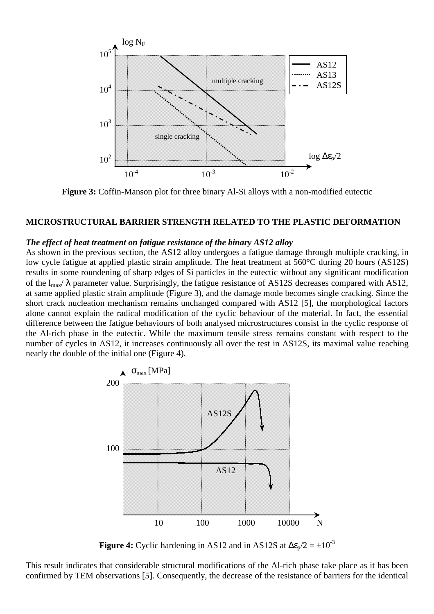

**Figure 3:** Coffin-Manson plot for three binary Al-Si alloys with a non-modified eutectic

#### **MICROSTRUCTURAL BARRIER STRENGTH RELATED TO THE PLASTIC DEFORMATION**

#### *The effect of heat treatment on fatigue resistance of the binary AS12 alloy*

As shown in the previous section, the AS12 alloy undergoes a fatigue damage through multiple cracking, in low cycle fatigue at applied plastic strain amplitude. The heat treatment at 560°C during 20 hours (AS12S) results in some roundening of sharp edges of Si particles in the eutectic without any significant modification of the  $l_{\text{max}}/\lambda$  parameter value. Surprisingly, the fatigue resistance of AS12S decreases compared with AS12, at same applied plastic strain amplitude (Figure 3), and the damage mode becomes single cracking. Since the short crack nucleation mechanism remains unchanged compared with AS12 [5], the morphological factors alone cannot explain the radical modification of the cyclic behaviour of the material. In fact, the essential difference between the fatigue behaviours of both analysed microstructures consist in the cyclic response of the Al-rich phase in the eutectic. While the maximum tensile stress remains constant with respect to the number of cycles in AS12, it increases continuously all over the test in AS12S, its maximal value reaching nearly the double of the initial one (Figure 4).



**Figure 4:** Cyclic hardening in AS12 and in AS12S at  $\Delta \epsilon_p / 2 = \pm 10^{-3}$ 

This result indicates that considerable structural modifications of the Al-rich phase take place as it has been confirmed by TEM observations [5]. Consequently, the decrease of the resistance of barriers for the identical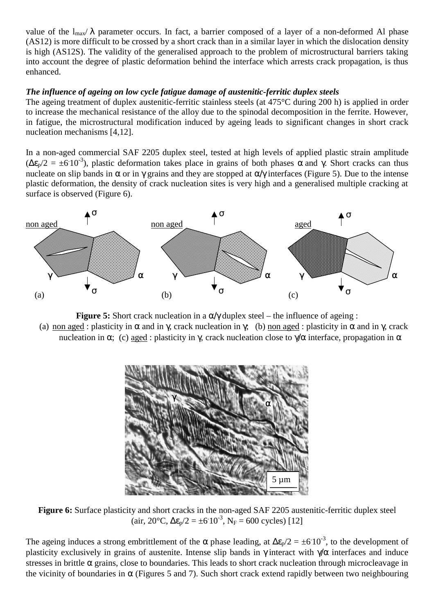value of the  $l_{\text{max}}/\lambda$  parameter occurs. In fact, a barrier composed of a layer of a non-deformed Al phase (AS12) is more difficult to be crossed by a short crack than in a similar layer in which the dislocation density is high (AS12S). The validity of the generalised approach to the problem of microstructural barriers taking into account the degree of plastic deformation behind the interface which arrests crack propagation, is thus enhanced.

# *The influence of ageing on low cycle fatigue damage of austenitic-ferritic duplex steels*

The ageing treatment of duplex austenitic-ferritic stainless steels (at 475°C during 200 h) is applied in order to increase the mechanical resistance of the alloy due to the spinodal decomposition in the ferrite. However, in fatigue, the microstructural modification induced by ageing leads to significant changes in short crack nucleation mechanisms [4,12].

In a non-aged commercial SAF 2205 duplex steel, tested at high levels of applied plastic strain amplitude  $(\Delta \epsilon_p/2 = \pm 610^{-3})$ , plastic deformation takes place in grains of both phases  $\alpha$  and  $\gamma$ . Short cracks can thus nucleate on slip bands in  $\alpha$  or in  $\gamma$  grains and they are stopped at  $\alpha/\gamma$  interfaces (Figure 5). Due to the intense plastic deformation, the density of crack nucleation sites is very high and a generalised multiple cracking at surface is observed (Figure 6).



**Figure 5:** Short crack nucleation in a  $\alpha/\gamma$  duplex steel – the influence of ageing : (a) non aged : plasticity in  $\alpha$  and in  $\gamma$ , crack nucleation in  $\gamma$ ; (b) non aged : plasticity in  $\alpha$  and in  $\gamma$ , crack nucleation in α; (c) aged : plasticity in γ, crack nucleation close to  $\gamma/\alpha$  interface, propagation in α



**Figure 6:** Surface plasticity and short cracks in the non-aged SAF 2205 austenitic-ferritic duplex steel (air, 20°C,  $\Delta \epsilon_p/2 = \pm 6.10^{-3}$ , N<sub>F</sub> = 600 cycles) [12]

The ageing induces a strong embrittlement of the  $\alpha$  phase leading, at  $\Delta \epsilon_p/2 = \pm 6.10^{-3}$ , to the development of plasticity exclusively in grains of austenite. Intense slip bands in  $\gamma$  interact with  $\gamma/\alpha$  interfaces and induce stresses in brittle  $\alpha$  grains, close to boundaries. This leads to short crack nucleation through microcleavage in the vicinity of boundaries in  $\alpha$  (Figures 5 and 7). Such short crack extend rapidly between two neighbouring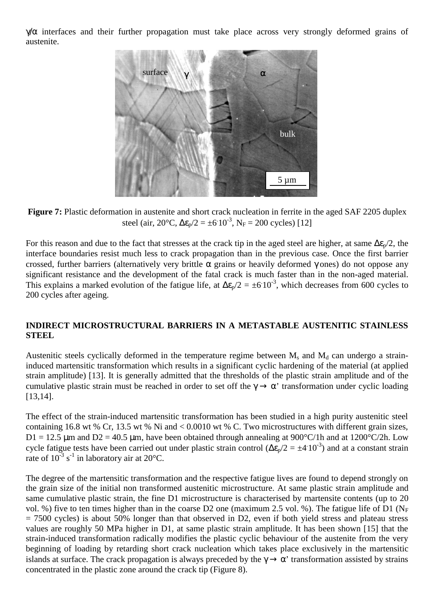$\gamma/\alpha$  interfaces and their further propagation must take place across very strongly deformed grains of austenite.



**Figure 7:** Plastic deformation in austenite and short crack nucleation in ferrite in the aged SAF 2205 duplex steel (air, 20°C,  $\Delta \epsilon_p/2 = \pm 6.10^{-3}$ , N<sub>F</sub> = 200 cycles) [12]

For this reason and due to the fact that stresses at the crack tip in the aged steel are higher, at same  $\Delta \epsilon_p/2$ , the interface boundaries resist much less to crack propagation than in the previous case. Once the first barrier crossed, further barriers (alternatively very brittle  $\alpha$  grains or heavily deformed  $\gamma$  ones) do not oppose any significant resistance and the development of the fatal crack is much faster than in the non-aged material. This explains a marked evolution of the fatigue life, at  $\Delta \epsilon_p/2 = \pm 6 \cdot 10^{-3}$ , which decreases from 600 cycles to 200 cycles after ageing.

# **INDIRECT MICROSTRUCTURAL BARRIERS IN A METASTABLE AUSTENITIC STAINLESS STEEL**

Austenitic steels cyclically deformed in the temperature regime between  $M_s$  and  $M_d$  can undergo a straininduced martensitic transformation which results in a significant cyclic hardening of the material (at applied strain amplitude) [13]. It is generally admitted that the thresholds of the plastic strain amplitude and of the cumulative plastic strain must be reached in order to set off the  $\gamma \to \alpha'$  transformation under cyclic loading [13,14].

The effect of the strain-induced martensitic transformation has been studied in a high purity austenitic steel containing 16.8 wt % Cr, 13.5 wt % Ni and < 0.0010 wt % C. Two microstructures with different grain sizes,  $D1 = 12.5 \mu m$  and  $D2 = 40.5 \mu m$ , have been obtained through annealing at 900°C/1h and at 1200°C/2h. Low cycle fatigue tests have been carried out under plastic strain control ( $\Delta \epsilon_p/2 = \pm 4.10^{-3}$ ) and at a constant strain rate of  $10^{-3}$  s<sup>-1</sup> in laboratory air at  $20^{\circ}$ C.

The degree of the martensitic transformation and the respective fatigue lives are found to depend strongly on the grain size of the initial non transformed austenitic microstructure. At same plastic strain amplitude and same cumulative plastic strain, the fine D1 microstructure is characterised by martensite contents (up to 20 vol. %) five to ten times higher than in the coarse D2 one (maximum 2.5 vol. %). The fatigue life of D1 ( $N_F$ )  $= 7500$  cycles) is about 50% longer than that observed in D2, even if both yield stress and plateau stress values are roughly 50 MPa higher in D1, at same plastic strain amplitude. It has been shown [15] that the strain-induced transformation radically modifies the plastic cyclic behaviour of the austenite from the very beginning of loading by retarding short crack nucleation which takes place exclusively in the martensitic islands at surface. The crack propagation is always preceded by the  $\gamma \to \alpha'$  transformation assisted by strains concentrated in the plastic zone around the crack tip (Figure 8).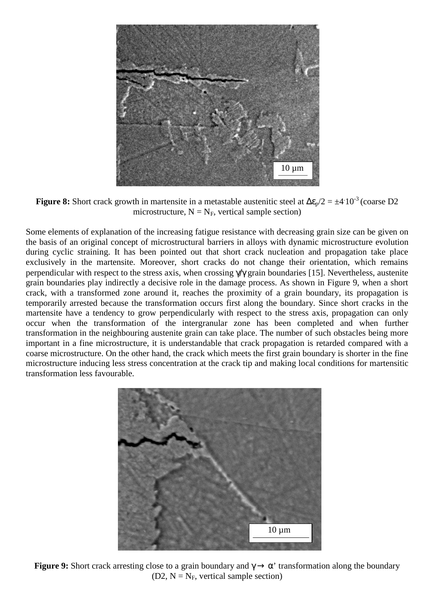

**Figure 8:** Short crack growth in martensite in a metastable austenitic steel at  $\Delta \epsilon_p/2 = \pm 4.10^{-3}$  (coarse D2 microstructure,  $N = N_F$ , vertical sample section)

Some elements of explanation of the increasing fatigue resistance with decreasing grain size can be given on the basis of an original concept of microstructural barriers in alloys with dynamic microstructure evolution during cyclic straining. It has been pointed out that short crack nucleation and propagation take place exclusively in the martensite. Moreover, short cracks do not change their orientation, which remains perpendicular with respect to the stress axis, when crossing γ/γ grain boundaries [15]. Nevertheless, austenite grain boundaries play indirectly a decisive role in the damage process. As shown in Figure 9, when a short crack, with a transformed zone around it, reaches the proximity of a grain boundary, its propagation is temporarily arrested because the transformation occurs first along the boundary. Since short cracks in the martensite have a tendency to grow perpendicularly with respect to the stress axis, propagation can only occur when the transformation of the intergranular zone has been completed and when further transformation in the neighbouring austenite grain can take place. The number of such obstacles being more important in a fine microstructure, it is understandable that crack propagation is retarded compared with a coarse microstructure. On the other hand, the crack which meets the first grain boundary is shorter in the fine microstructure inducing less stress concentration at the crack tip and making local conditions for martensitic transformation less favourable.



**Figure 9:** Short crack arresting close to a grain boundary and  $\gamma \rightarrow \alpha'$  transformation along the boundary (D2,  $N = N_F$ , vertical sample section)